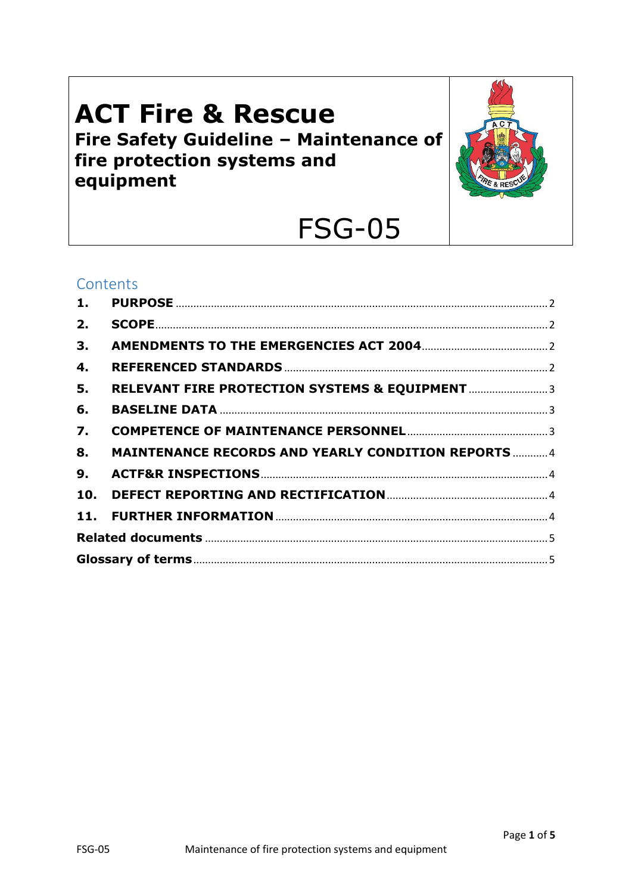# **ACT Fire & Rescue** Fire Safety Guideline - Maintenance of fire protection systems and equipment



# **FSG-05**

### Contents

| 1.               |                                                            |  |
|------------------|------------------------------------------------------------|--|
| 2.               |                                                            |  |
| 3.               |                                                            |  |
| 4.               |                                                            |  |
| 5.               |                                                            |  |
| 6.               |                                                            |  |
| $\overline{7}$ . |                                                            |  |
| 8.               | <b>MAINTENANCE RECORDS AND YEARLY CONDITION REPORTS  4</b> |  |
| 9.               |                                                            |  |
| 10.              |                                                            |  |
|                  |                                                            |  |
|                  |                                                            |  |
|                  |                                                            |  |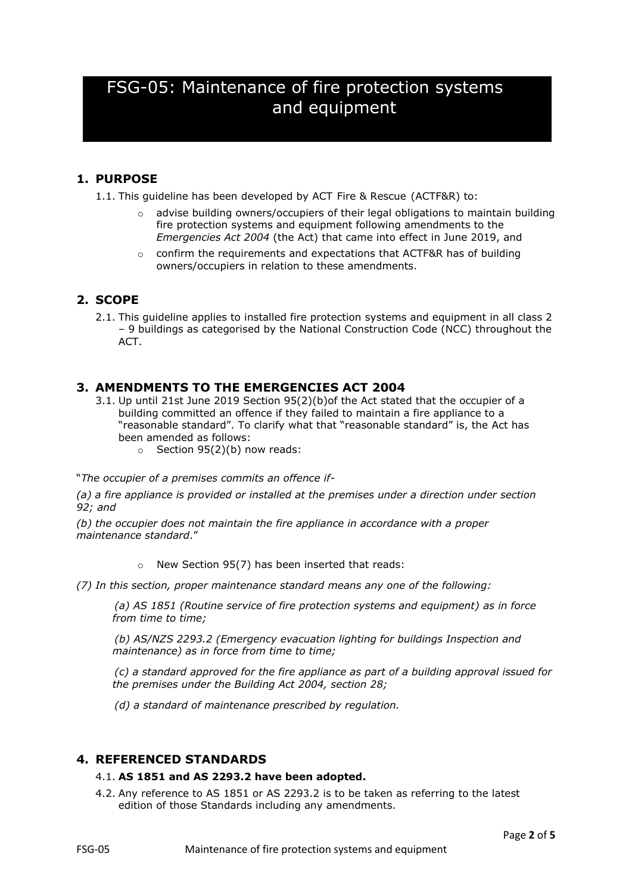### FSG-05: Maintenance of fire protection systems and equipment

#### <span id="page-1-0"></span>**1. PURPOSE**

1.1. This guideline has been developed by ACT Fire & Rescue (ACTF&R) to:

- $\circ$  advise building owners/occupiers of their legal obligations to maintain building fire protection systems and equipment following amendments to the *Emergencies Act 2004* (the Act) that came into effect in June 2019, and
- $\circ$  confirm the requirements and expectations that ACTF&R has of building owners/occupiers in relation to these amendments.

#### <span id="page-1-1"></span>**2. SCOPE**

2.1. This guideline applies to installed fire protection systems and equipment in all class 2 – 9 buildings as categorised by the National Construction Code (NCC) throughout the ACT.

#### <span id="page-1-2"></span>**3. AMENDMENTS TO THE EMERGENCIES ACT 2004**

- 3.1. Up until 21st June 2019 Section 95(2)(b)of the Act stated that the occupier of a building committed an offence if they failed to maintain a fire appliance to a "reasonable standard". To clarify what that "reasonable standard" is, the Act has been amended as follows:
	- $\circ$  Section 95(2)(b) now reads:

"*The occupier of a premises commits an offence if-*

*(a) a fire appliance is provided or installed at the premises under a direction under section 92; and*

*(b) the occupier does not maintain the fire appliance in accordance with a proper maintenance standard*."

o New Section 95(7) has been inserted that reads:

*(7) In this section, proper maintenance standard means any one of the following:*

*(a) AS 1851 (Routine service of fire protection systems and equipment) as in force from time to time;*

*(b) AS/NZS 2293.2 (Emergency evacuation lighting for buildings Inspection and maintenance) as in force from time to time;*

*(c) a standard approved for the fire appliance as part of a building approval issued for the premises under the Building Act 2004, section 28;*

*(d) a standard of maintenance prescribed by regulation.*

#### <span id="page-1-3"></span>**4. REFERENCED STANDARDS**

#### 4.1. **AS 1851 and AS 2293.2 have been adopted.**

4.2. Any reference to AS 1851 or AS 2293.2 is to be taken as referring to the latest edition of those Standards including any amendments.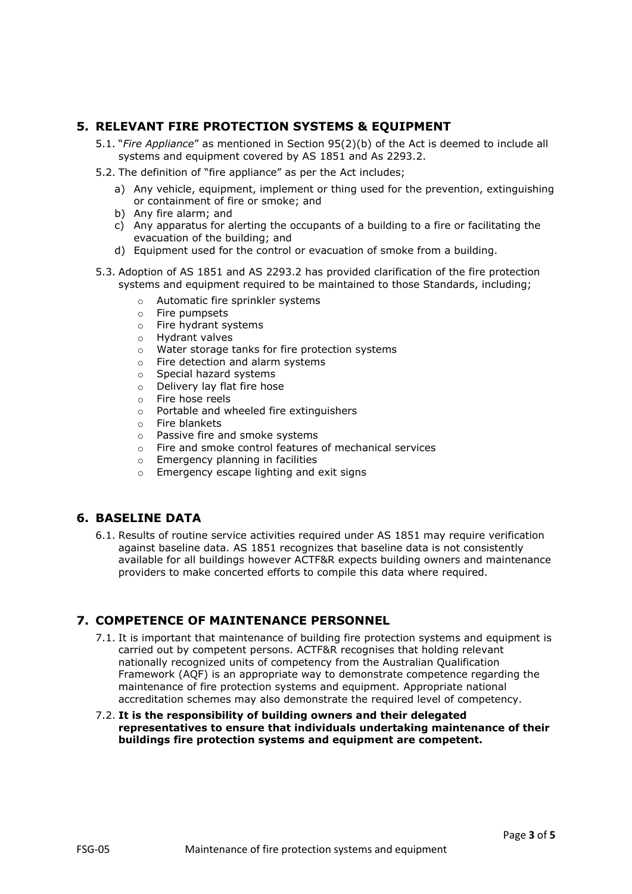#### <span id="page-2-0"></span>**5. RELEVANT FIRE PROTECTION SYSTEMS & EQUIPMENT**

- 5.1. "*Fire Appliance*" as mentioned in Section 95(2)(b) of the Act is deemed to include all systems and equipment covered by AS 1851 and As 2293.2.
- 5.2. The definition of "fire appliance" as per the Act includes;
	- a) Any vehicle, equipment, implement or thing used for the prevention, extinguishing or containment of fire or smoke; and
	- b) Any fire alarm; and
	- c) Any apparatus for alerting the occupants of a building to a fire or facilitating the evacuation of the building; and
	- d) Equipment used for the control or evacuation of smoke from a building.
- 5.3. Adoption of AS 1851 and AS 2293.2 has provided clarification of the fire protection systems and equipment required to be maintained to those Standards, including;
	- o Automatic fire sprinkler systems
	- o Fire pumpsets
	- o Fire hydrant systems
	- o Hydrant valves
	- o Water storage tanks for fire protection systems
	- o Fire detection and alarm systems
	- o Special hazard systems
	- o Delivery lay flat fire hose
	- o Fire hose reels
	- o Portable and wheeled fire extinguishers
	- o Fire blankets
	- o Passive fire and smoke systems
	- o Fire and smoke control features of mechanical services
	- o Emergency planning in facilities
	- o Emergency escape lighting and exit signs

#### <span id="page-2-1"></span>**6. BASELINE DATA**

6.1. Results of routine service activities required under AS 1851 may require verification against baseline data. AS 1851 recognizes that baseline data is not consistently available for all buildings however ACTF&R expects building owners and maintenance providers to make concerted efforts to compile this data where required.

#### <span id="page-2-2"></span>**7. COMPETENCE OF MAINTENANCE PERSONNEL**

- 7.1. It is important that maintenance of building fire protection systems and equipment is carried out by competent persons. ACTF&R recognises that holding relevant nationally recognized units of competency from the Australian Qualification Framework (AQF) is an appropriate way to demonstrate competence regarding the maintenance of fire protection systems and equipment. Appropriate national accreditation schemes may also demonstrate the required level of competency.
- 7.2. **It is the responsibility of building owners and their delegated representatives to ensure that individuals undertaking maintenance of their buildings fire protection systems and equipment are competent.**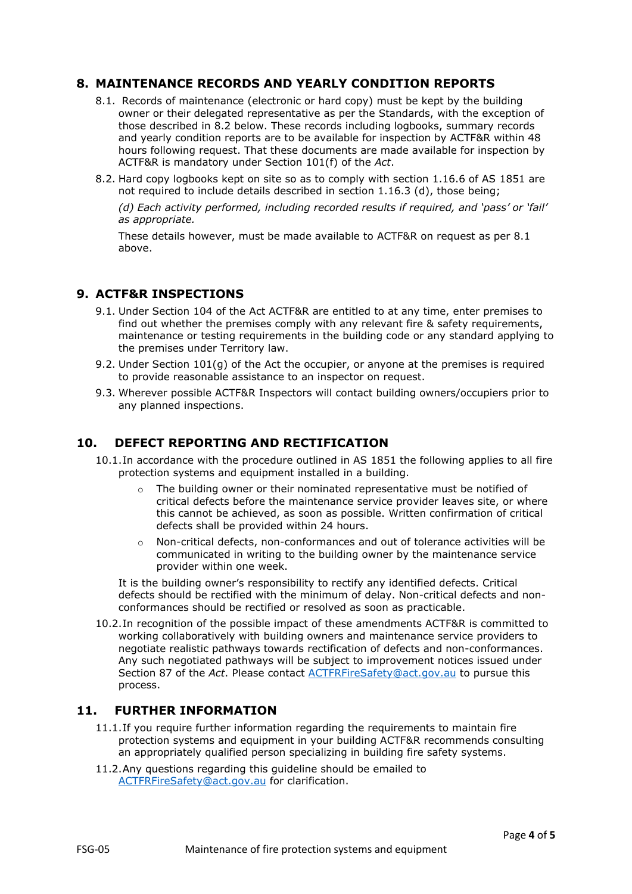#### <span id="page-3-0"></span>**8. MAINTENANCE RECORDS AND YEARLY CONDITION REPORTS**

- 8.1. Records of maintenance (electronic or hard copy) must be kept by the building owner or their delegated representative as per the Standards, with the exception of those described in 8.2 below. These records including logbooks, summary records and yearly condition reports are to be available for inspection by ACTF&R within 48 hours following request. That these documents are made available for inspection by ACTF&R is mandatory under Section 101(f) of the *Act*.
- 8.2. Hard copy logbooks kept on site so as to comply with section 1.16.6 of AS 1851 are not required to include details described in section 1.16.3 (d), those being;

*(d) Each activity performed, including recorded results if required, and 'pass' or 'fail' as appropriate.*

These details however, must be made available to ACTF&R on request as per 8.1 above.

#### <span id="page-3-1"></span>**9. ACTF&R INSPECTIONS**

- 9.1. Under Section 104 of the Act ACTF&R are entitled to at any time, enter premises to find out whether the premises comply with any relevant fire & safety requirements, maintenance or testing requirements in the building code or any standard applying to the premises under Territory law.
- 9.2. Under Section  $101(q)$  of the Act the occupier, or anyone at the premises is required to provide reasonable assistance to an inspector on request.
- 9.3. Wherever possible ACTF&R Inspectors will contact building owners/occupiers prior to any planned inspections.

#### <span id="page-3-2"></span>**10. DEFECT REPORTING AND RECTIFICATION**

- 10.1.In accordance with the procedure outlined in AS 1851 the following applies to all fire protection systems and equipment installed in a building.
	- $\circ$  The building owner or their nominated representative must be notified of critical defects before the maintenance service provider leaves site, or where this cannot be achieved, as soon as possible. Written confirmation of critical defects shall be provided within 24 hours.
	- o Non-critical defects, non-conformances and out of tolerance activities will be communicated in writing to the building owner by the maintenance service provider within one week.

It is the building owner's responsibility to rectify any identified defects. Critical defects should be rectified with the minimum of delay. Non-critical defects and nonconformances should be rectified or resolved as soon as practicable.

10.2.In recognition of the possible impact of these amendments ACTF&R is committed to working collaboratively with building owners and maintenance service providers to negotiate realistic pathways towards rectification of defects and non-conformances. Any such negotiated pathways will be subject to improvement notices issued under Section 87 of the *Act*. Please contact [ACTFRFireSafety@act.gov.au](mailto:ACTFRFireSafety@act.gov.au) to pursue this process.

#### <span id="page-3-3"></span>**11. FURTHER INFORMATION**

- 11.1.If you require further information regarding the requirements to maintain fire protection systems and equipment in your building ACTF&R recommends consulting an appropriately qualified person specializing in building fire safety systems.
- 11.2.Any questions regarding this guideline should be emailed to [ACTFRFireSafety@act.gov.au](mailto:ACTFRFireSafety@act.gov.au) for clarification.